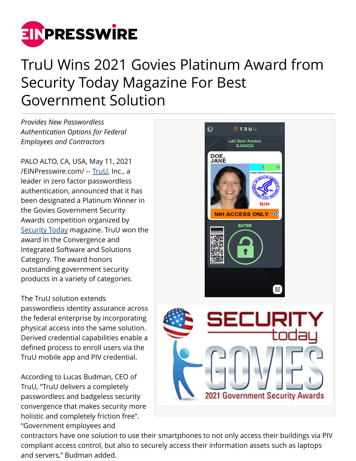

## TruU Wins 2021 Govies Platinum Award from Security Today Magazine For Best Government Solution

*Provides New Passwordless Authentication Options for Federal Employees and Contractors*

PALO ALTO, CA, USA, May 11, 2021 [/EINPresswire.com/](http://www.einpresswire.com) -- [TruU,](https://truu.ai/) Inc., a leader in zero factor passwordless authentication, announced that it has been designated a Platinum Winner in the Govies Government Security Awards competition organized by [Security Today](https://securitytoday.com/Home.aspx) magazine. TruU won the award in the Convergence and Integrated Software and Solutions Category. The award honors outstanding government security products in a variety of categories.

The TruU solution extends passwordless identity assurance across the federal enterprise by incorporating physical access into the same solution. Derived credential capabilities enable a defined process to enroll users via the TruU mobile app and PIV credential.

According to Lucas Budman, CEO of TruU, "TruU delivers a completely passwordless and badgeless security convergence that makes security more holistic and completely friction free". "Government employees and



contractors have one solution to use their smartphones to not only access their buildings via PIV compliant access control, but also to securely access their information assets such as laptops and servers," Budman added.